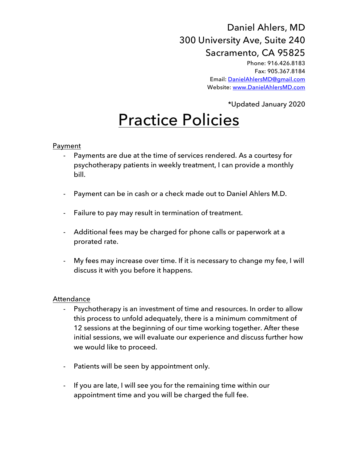## Daniel Ahlers, MD 300 University Ave, Suite 240 Sacramento, CA 95825 Phone: 916.426.8183

Fax: 905.367.8184 Email: DanielAhlersMD@gmail.com Website: www.DanielAhlersMD.com

\*Updated January 2020

# Practice Policies

#### Payment

- Payments are due at the time of services rendered. As a courtesy for psychotherapy patients in weekly treatment, I can provide a monthly bill.
- Payment can be in cash or a check made out to Daniel Ahlers M.D.
- Failure to pay may result in termination of treatment.
- Additional fees may be charged for phone calls or paperwork at a prorated rate.
- My fees may increase over time. If it is necessary to change my fee, I will discuss it with you before it happens.

#### **Attendance**

- Psychotherapy is an investment of time and resources. In order to allow this process to unfold adequately, there is a minimum commitment of 12 sessions at the beginning of our time working together. After these initial sessions, we will evaluate our experience and discuss further how we would like to proceed.
- Patients will be seen by appointment only.
- If you are late, I will see you for the remaining time within our appointment time and you will be charged the full fee.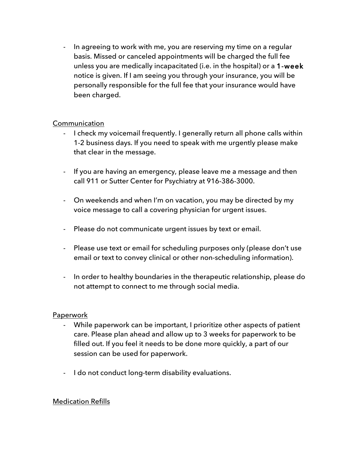- In agreeing to work with me, you are reserving my time on a regular basis. Missed or canceled appointments will be charged the full fee unless you are medically incapacitated (i.e. in the hospital) or a 1-week notice is given. If I am seeing you through your insurance, you will be personally responsible for the full fee that your insurance would have been charged.

#### **Communication**

- I check my voicemail frequently. I generally return all phone calls within 1-2 business days. If you need to speak with me urgently please make that clear in the message.
- If you are having an emergency, please leave me a message and then call 911 or Sutter Center for Psychiatry at 916-386-3000.
- On weekends and when I'm on vacation, you may be directed by my voice message to call a covering physician for urgent issues.
- Please do not communicate urgent issues by text or email.
- Please use text or email for scheduling purposes only (please don't use email or text to convey clinical or other non-scheduling information).
- In order to healthy boundaries in the therapeutic relationship, please do not attempt to connect to me through social media.

#### Paperwork

- While paperwork can be important, I prioritize other aspects of patient care. Please plan ahead and allow up to 3 weeks for paperwork to be filled out. If you feel it needs to be done more quickly, a part of our session can be used for paperwork.
- I do not conduct long-term disability evaluations.

#### Medication Refills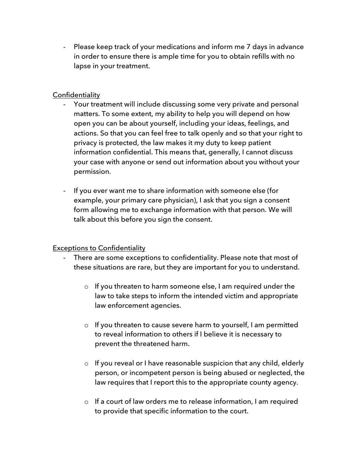- Please keep track of your medications and inform me 7 days in advance in order to ensure there is ample time for you to obtain refills with no lapse in your treatment.

### **Confidentiality**

- Your treatment will include discussing some very private and personal matters. To some extent, my ability to help you will depend on how open you can be about yourself, including your ideas, feelings, and actions. So that you can feel free to talk openly and so that your right to privacy is protected, the law makes it my duty to keep patient information confidential. This means that, generally, I cannot discuss your case with anyone or send out information about you without your permission.
- If you ever want me to share information with someone else (for example, your primary care physician), I ask that you sign a consent form allowing me to exchange information with that person. We will talk about this before you sign the consent.

#### Exceptions to Confidentiality

- There are some exceptions to confidentiality. Please note that most of these situations are rare, but they are important for you to understand.
	- o If you threaten to harm someone else, I am required under the law to take steps to inform the intended victim and appropriate law enforcement agencies.
	- o If you threaten to cause severe harm to yourself, I am permitted to reveal information to others if I believe it is necessary to prevent the threatened harm.
	- o If you reveal or I have reasonable suspicion that any child, elderly person, or incompetent person is being abused or neglected, the law requires that I report this to the appropriate county agency.
	- o If a court of law orders me to release information, I am required to provide that specific information to the court.